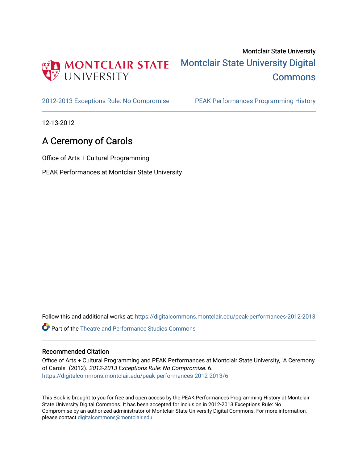

[2012-2013 Exceptions Rule: No Compromise](https://digitalcommons.montclair.edu/peak-performances-2012-2013) [PEAK Performances Programming History](https://digitalcommons.montclair.edu/peak-performances-programming-history) 

12-13-2012

## A Ceremony of Carols

Office of Arts + Cultural Programming

PEAK Performances at Montclair State University

Follow this and additional works at: [https://digitalcommons.montclair.edu/peak-performances-2012-2013](https://digitalcommons.montclair.edu/peak-performances-2012-2013?utm_source=digitalcommons.montclair.edu%2Fpeak-performances-2012-2013%2F6&utm_medium=PDF&utm_campaign=PDFCoverPages) 

Part of the [Theatre and Performance Studies Commons](http://network.bepress.com/hgg/discipline/552?utm_source=digitalcommons.montclair.edu%2Fpeak-performances-2012-2013%2F6&utm_medium=PDF&utm_campaign=PDFCoverPages) 

## Recommended Citation

Office of Arts + Cultural Programming and PEAK Performances at Montclair State University, "A Ceremony of Carols" (2012). 2012-2013 Exceptions Rule: No Compromise. 6. [https://digitalcommons.montclair.edu/peak-performances-2012-2013/6](https://digitalcommons.montclair.edu/peak-performances-2012-2013/6?utm_source=digitalcommons.montclair.edu%2Fpeak-performances-2012-2013%2F6&utm_medium=PDF&utm_campaign=PDFCoverPages) 

This Book is brought to you for free and open access by the PEAK Performances Programming History at Montclair State University Digital Commons. It has been accepted for inclusion in 2012-2013 Exceptions Rule: No Compromise by an authorized administrator of Montclair State University Digital Commons. For more information, please contact [digitalcommons@montclair.edu.](mailto:digitalcommons@montclair.edu)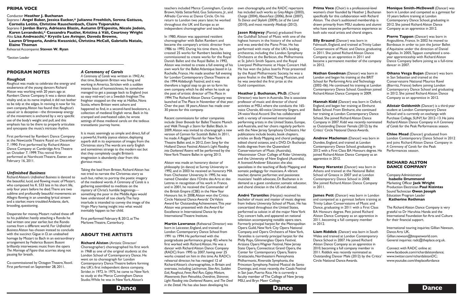teachers included Merce Cunningham, Carolyn Brown,Valda Setterfield, Gus Solomons, Jr., and Alfredo Corvino at Dance Circle. On his return to London two years later, he worked throughout the UK and Europe as an independent choreographer and teacher.

In 1980, Alston was appointed resident choreographer with Ballet Rambert and became the company's artistic director from 1986 to 1992. During his time there, he created 25 works for Rambert besides being commissioned to create works for the Royal Danish Ballet and the Royal Ballet. In 1992, Alston was invited to create a full evening of his own work for the Ballet Atlantique based in La Rochelle, France. He made another full evening for London Contemporary Dance Theatre at the 1994Aldeburgh Festival, and it was therefore a logical step to go on to form his own company, which he did when he took up the post of artistic director ofThe Place in 1994. The Richard Alston Dance Company was launched atThe Place in November of that year. Over the past 18 years,Alston has made over 30 pieces for this company.

Recent commissions for other companies include *Sheer Bravado* for BalletTheatre Munich and *WalkThrough a Storm* for Ballet Black. In 2009,Alston was invited to choreograph a new version of *Carmen* for Scottish Ballet. In 2011, he made *A Rugged Flourish* for NewYork Theatre Ballet and, in 2012, *Even Song* for the Holland Dance Festival.Alston's *Light Flooding into Darkened Rooms* will be performed by the NewYorkTheatre Ballet in spring 2013.

Alston was made an honorary doctor of philosophy (in dance) at Surrey University in 1992, and in 2003 he received an honorary MA from Chichester University. In 1995, he was named Chevalier dans l'Ordre desArts et des Lettres in recognition of his work in France, and in 2001, he received the Commander of the British Empire (CBE) in the New Year Honours list. In 2008,Alston won the Critics Circle National DanceAwards' DeValois Award for Outstanding Achievement. This year Alston was presented with theAward for Excellence in International Dance by the InternationalTheatre Institute.

**Martin Lawrance** (Rehearsal Director) was born in Leicester, England, and trained at London Contemporary Dance School from 1991 to 1994. He performed with the postgraduate performance group 4D, where he first worked with Richard Alston. He was a dancer with Richard Alston Dance Company (RADC) from 1995 to 2007, having over 25 works created on him in this time.As RADC's rehearsal director, he has restaged 12 of RichardAlston's choreographies, in Britain and overseas, including *Lachrymae, Slow Airs, Sudden Exit, Roughcut, Fever, Red Run,Gypsy Mixture, Movements from Petrushka,Overdrive, Shimmer, Light Flooding into Darkened Rooms,* and *The Devil in the Detail.* He has also been developing his

own choreography, and the RADC repertoire has included such works as *Grey Allegro* (2003), *Charge* (2004), *About-Face* (2006), *Brink* (2007), *To Dance and Skylark* (2009), *Lie of the Land* (2010), and most recently *Madcap* (2012).

**Jason Ridgway** (Pianist) graduated from the Guildhall School of Music with one of the highest honors in the history of the school and was awarded the Piano Prize. He has performed with many of the UK's leading orchestras, including the London Symphony Orchestra at the Barbican, the Philharmonia at St. John's Smith Square, and the Royal Liverpool Philharmonic at Hope Concert Hall. He has won the Julius Isserlis Prize presented by the Royal Philharmonic Society, he was a piano finalist in the BBCYoung Musician, and he was awarded the first prize at the Guild competition.

Desperate for money, Mozart rushed these off to his publisher, hastily attaching a Rondo he had written one year earlier, but the Rondo comes from a different world. For *Unfinished Business*Alston has chosen instead to conclude with the succinct Gigue in D, an unabashed homage by Mozart to Bach in an extraordinary arrangement by Federico Busoni. Busoni brilliantly interweaves music from the opera *The Marriage of Figaro* that scurries along not pausing for breath.

**Heather J. Buchanan, Ph.D.** (Choral Director) was born in Australia. She is associate professor of music and director of choral activities at MSU, where she conducts the 165 voice Chorale, 60-voice University Singers, and 24-voice Vocal Accord. She has collaborated with a variety of renowned international performing artists in the United States, Europe, and Australia, and her choirs regularly perform with the New Jersey Symphony Orchestra. Her publications include books, book chapters, articles on Body Mapping and choral pedagogy, edited choral octavos, and a DVD.Dr. Buchanan holds degrees from the Queensland Conservatorium of Music (Australia), Westminster Choir College of Rider University, and the University of New England (Australia). A licensed Andover Educator, she also specializes in the teaching of Body Mapping and somatic pedagogy for musicians.A vibrant teacher, dynamic performer, and passionate musicians' health advocate,Dr. Buchanan is in demand as a guest conductor, somatic educator, and choral clinician in the US and abroad.

It is music seemingly so simple and direct, full of a powerful, frankly joyous elation, deploying superb skill in its expression of images from the Christmas story.The words are early English and sometimes strange to the modern ear, but that they completely caught Britten's imagination is abundantly clear from this glorious music.

Taking the lead from Britten, Richard Alston has not tried to narrate the Christmas story as such but, rather, to portray the poetic imagery of the medieval words. *A Ceremony of Carols* is a gathering assembled to meditate on the mystery of Christ's humble beginnings something the poor in the Middle Ages would have understood all too clearly.The harp interlude is intended to convey the image of the Virgin Mary having insight into what would inevitably happen to her child.

First performed February 8, 2012, at The MarloweTheatre, Canterbury.

**Nathan Goodman** (Dancer) was born in London and began his training at the BRIT School for Performing Arts and Technology (2002–06). He continued his training at London Contemporary Dance School.Goodman joined Richard Alston Dance Company in 2009.

**André Tarantiles** (Harpist) received his bachelor of music and master of music degrees from Indiana University School of Music. He has concertized throughout the United States, performed as soloist in all the major NewYork City concert halls, and appeared on national television accompanying notable opera stars. Formerly principal harpist for the Metropolitan Opera Guild, New York City Opera National Company, and Opera Orchestra of NewYork, Tarantiles is currently principal harpist for the Philly Pops, Glimmerglass Opera Festival, Arizona Opera Wagner Festival, New Jersey State Opera, Connecticut Grand Opera, the Center for Contemporary Opera,Teatro Grattacielo,Northeastern Pennsylvania Philharmonic, Riverside Symphonia, the Princeton Symphony, Festival Musical de Santo Domingo, and, most recently, the Casals Festival in San Juan, Puerto Rico. He is currently a faculty member ofThe College of New Jersey, MSU, and Bryn Mawr College.

## **PROGRAM NOTES**

## *Roughcut*

*Roughcut* was made to celebrate the energy and exuberance of the young dancers Richard Alston was working with 20 years ago at Rambert Dance Company. It was a dance about vitality and, as its name implied, it did not bother to be tidy at the edges. In reviving it now for his own company,Alston has found that *Roughcut's* casual air is deceptive—the throwaway energy of the movement is anchored by a very specific use of the body's weight and pull, and this emphasis has to be there to properly articulate and syncopate the music's intricate rhythm.

First performed by Rambert Dance Company at the Newcastle Theatre Royal on December 7, 1990. First performed by Richard Alston Dance Company at Cambridge Arts Theatre on October 7, 1999.This revival first performed at Northcott Theatre, Exeter, on February 16, 2011.

## *Unfinished Business*

The Richard Alston Dance Company is very grateful to Dr Haruhisa Handa and the International Foundation forArts and Culture for their financial support.

International touring inquiries: Gillian Newson, DanceArts UK, Gillian.newson@btopenworld.com. General inquiries: radc@theplace.org.uk.

RichardAlston's *Unfinished Business* is danced to the beautiful, lucid, and flowing music of Mozart, who composed his K. 533 late in his short life, only four years before he died.There are two sublime and profoundly beautiful movements: an Allegro flowing in an unending lyrical stream and a starker, more troubled Andante, dark, brooding, questioning.

Co-commissioned by OctagonTheatre,Yeovil. First performed on September 28, 2011.

## *A Ceremony of Carols*

*A Ceremony of Carols* was written in 1942.At that time, Benjamin Britten was living and working inAmerica. Stricken with a sudden intense bout of homesickness, he somehow managed to get a passage back to England (not so easy mid-war) on a Swedish freighter.The freighter stopped on the way at Halifax, Nova Scotia, where Britten went ashore and happened to find, in a second-hand bookstore, a collection of medieval English verse. Back in his cramped and overheated cabin, he wrote settings of these medieval carols on the tedious transatlantic journey home.

## **ABOUT THE ARTISTS**

**Richard Alston** (Artistic Director/ Choreographer) choreographed his first work in 1968 as one of the original students at the London School of Contemporary Dance. He went on to choreograph for London Contemporary Dance Theatre before forming the UK's first independent dance company, Strider, in 1972. In 1975, he came to NewYork to study at the Merce Cunningham Dance Studio.While he was in NewYork,Alston's

**Dance Dance Dance Dance** 

**Prima Voce** (Choir) is a professional-level women's choir founded by Heather J. Buchanan specifically for this collaboration with Richard Alston. The choir's auditioned membership is drawn primarily from MSU students and alumni who have extensive performance experience as both solo vocal artists and choral singers.

**Elly Braund** (Dancer) was born in Falmouth, England, and trained at Trinity Laban Conservatoire of Music and Dance, graduating in 2011. She joined Richard Alston Dance Company as an apprentice in 2011 and became a permanent member of the company in 2012.

**Hannah Kidd** (Dancer) was born in Oxford,

England, and began her training at Elmhurst Ballet School. From Elmhurst, she continued her training at London Contemporary Dance School. She joined Richard Alston Dance Company in 2007.Kidd was recently nominated as Outstanding Dancer Female (2012) by the Critics' Circle National DanceAwards.

**Andrew Macleman** (Dancer) was born in Dundee, England, and trained at London Contemporary Dance School, graduating in 2012 with a First Class BA Honours degree. He joined Richard Alston Dance Company as an apprentice in 2012.

**Nancy Nerantzi** (Dancer) was born in Athens and trained at the National Ballet School of Greece in 2007 and at London Contemporary Dance School in 2008. She joined Richard Alston Dance Company in 2011.

**James Pett** (Dancer) was born in London and competed as a gymnast before training at Trinity Laban Conservatoire of Music and Dance, graduating in 2011 with a First Class BA Honours degree. Pett joined Richard Alston Dance Company as an apprentice in 2011, becoming a full company member in 2012.

**Liam Riddick** (Dancer) was born in South Wales and trained at London Contemporary Dance School in 2007. He joined Richard Alston Dance Company as an apprentice in 2010, becoming a full company member in 2011.Riddick was recently nominated as Outstanding Dancer Male (2012) by the Critics' Circle National DanceAwards.

**Monique Smith-McDowell** (Dancer) was born in London and competed as a gymnast for 10 years before training at London Contemporary Dance School, graduating in 2012. She joined Richard Alston Dance Company as an apprentice in 2012.

**Pierre Tappon** (Dancer) was born in Angoulême, France. In 2002 he moved to Bordeaux in order to join the Junior Ballet d'Aquitaine under the direction of Daniel Agésilas. In 2005,Tappon completed a oneyear apprenticeship with Richard Alston Dance Company before joining as a full-time dancer in 2007.

**Oihana Vesga Bujan** (Dancer) was born in San Sebastian and trained at the Conservatoire National Maurice Ravel (Biarritz, France) before joining London Contemporary Dance School and graduating in 2012. She joined Richard Alston Dance Company as an apprentice in 2012.

**Alistair Goldsmith** (Dancer) is a third-year student at London Contemporary Dance School and is currently on exchange with Purchase College, SUNY, for 2012–13. He joins RichardAlston Dance Company in *A Ceremony of Carols* for the Peak Performances season.

**Chloe Mead** (Dancer) graduated from London Contemporary Dance School in 2012 and joins Richard Alston Dance Company in *A Ceremony of Carols* for the Peak Performances season.

## **RICHARD ALSTON DANCE COMPANY**

CompanyAdministrator **Isabelle Drummond** Marketing Officer **Jack Wright** Production Electrician **Paul Kizintas** SoundTechnician **Owen Joseph** Education Program Leader **Katherine Rothman**

Connect with RADC online at: www.facebook.com/richardalstondance; www.twitter.com/richardalstonDC; www.youtube.com/theplacefordance

## **PRIMA VOCE**

## Conductor **Heather J. Buchanan**

Soprano I **Angel Baker, Jessica Eucker,\* Julianne Froehlich, Serena Gattuso, Cornelia Lotito, Christine Rauschenbach, Claire Tsiporukha**

Soprano II **Jordan Barry, Adrieana Blazin, Autumn D'Esposito, Nicole Jodoin, Karen Levandoski,\* Cassandra Pautler, Kristina á Váli, Courtney Wright** Alto **Lisa Andreacchi,\* Krystle Lee Avinger, Daveda Browne,**

**Lauren D'Imperio, Andria Kwasnicki, Christina McCall, Gabriella Natale, Elaine Thoman**

RehearsalAccompanist **Steven W. Ryan**

\*Section Leader